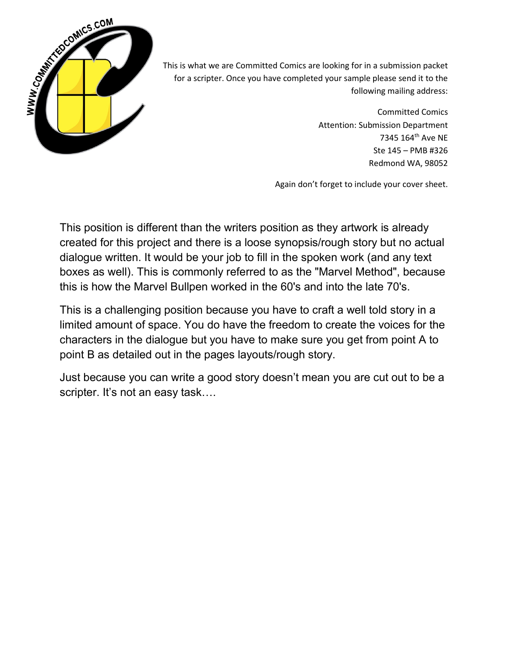

This is what we are Committed Comics are looking for in a submission packet for a scripter. Once you have completed your sample please send it to the following mailing address:

> Committed Comics Attention: Submission Department 7345 164th Ave NE Ste 145 – PMB #326 Redmond WA, 98052

Again don't forget to include your cover sheet.

This position is different than the writers position as they artwork is already created for this project and there is a loose synopsis/rough story but no actual dialogue written. It would be your job to fill in the spoken work (and any text boxes as well). This is commonly referred to as the "Marvel Method", because this is how the Marvel Bullpen worked in the 60's and into the late 70's.

This is a challenging position because you have to craft a well told story in a limited amount of space. You do have the freedom to create the voices for the characters in the dialogue but you have to make sure you get from point A to point B as detailed out in the pages layouts/rough story.

Just because you can write a good story doesn't mean you are cut out to be a scripter. It's not an easy task....